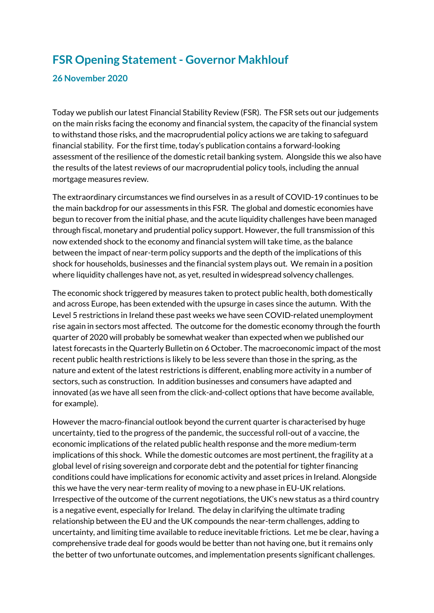## **FSR Opening Statement - Governor Makhlouf**

## **26 November 2020**

Today we publish our latest Financial Stability Review (FSR). The FSR sets out our judgements on the main risks facing the economy and financial system, the capacity of the financial system to withstand those risks, and the macroprudential policy actions we are taking to safeguard financial stability. For the first time, today's publication contains a forward-looking assessment of the resilience of the domestic retail banking system. Alongside this we also have the results of the latest reviews of our macroprudential policy tools, including the annual mortgage measures review.

The extraordinary circumstances we find ourselves in as a result of COVID-19 continues to be the main backdrop for our assessments in this FSR. The global and domestic economies have begun to recover from the initial phase, and the acute liquidity challenges have been managed through fiscal, monetary and prudential policy support. However, the full transmission of this now extended shock to the economy and financial system will take time, as the balance between the impact of near-term policy supports and the depth of the implications of this shock for households, businesses and the financial system plays out. We remain in a position where liquidity challenges have not, as yet, resulted in widespread solvency challenges.

The economic shock triggered by measures taken to protect public health, both domestically and across Europe, has been extended with the upsurge in cases since the autumn. With the Level 5 restrictions in Ireland these past weeks we have seen COVID-related unemployment rise again in sectors most affected. The outcome for the domestic economy through the fourth quarter of 2020 will probably be somewhat weaker than expected when we published our latest forecasts in the Quarterly Bulletin on 6 October. The macroeconomic impact of the most recent public health restrictions is likely to be less severe than those in the spring, as the nature and extent of the latest restrictions is different, enabling more activity in a number of sectors, such as construction. In addition businesses and consumers have adapted and innovated (as we have all seen from the click-and-collect options that have become available, for example).

However the macro-financial outlook beyond the current quarter is characterised by huge uncertainty, tied to the progress of the pandemic, the successful roll-out of a vaccine, the economic implications of the related public health response and the more medium-term implications of this shock. While the domestic outcomes are most pertinent, the fragility at a global level of rising sovereign and corporate debt and the potential for tighter financing conditions could have implications for economic activity and asset prices in Ireland. Alongside this we have the very near-term reality of moving to a new phase in EU-UK relations. Irrespective of the outcome of the current negotiations, the UK's new status as a third country is a negative event, especially for Ireland. The delay in clarifying the ultimate trading relationship between the EU and the UK compounds the near-term challenges, adding to uncertainty, and limiting time available to reduce inevitable frictions. Let me be clear, having a comprehensive trade deal for goods would be better than not having one, but it remains only the better of two unfortunate outcomes, and implementation presents significant challenges.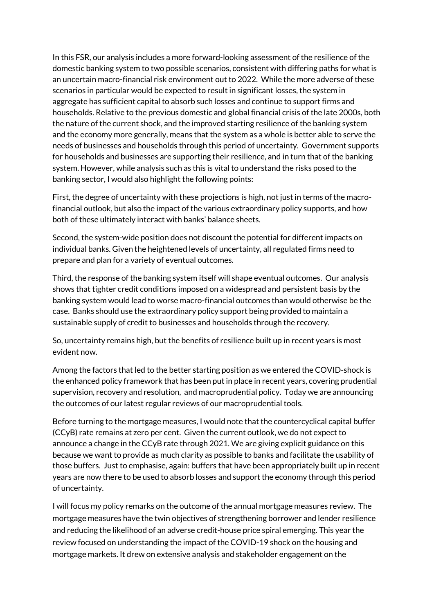In this FSR, our analysis includes a more forward-looking assessment of the resilience of the domestic banking system to two possible scenarios, consistent with differing paths for what is an uncertain macro-financial risk environment out to 2022. While the more adverse of these scenarios in particular would be expected to result in significant losses, the system in aggregate has sufficient capital to absorb such losses and continue to support firms and households. Relative to the previous domestic and global financial crisis of the late 2000s, both the nature of the current shock, and the improved starting resilience of the banking system and the economy more generally, means that the system as a whole is better able to serve the needs of businesses and households through this period of uncertainty. Government supports for households and businesses are supporting their resilience, and in turn that of the banking system. However, while analysis such as this is vital to understand the risks posed to the banking sector, I would also highlight the following points:

First, the degree of uncertainty with these projections is high, not just in terms of the macrofinancial outlook, but also the impact of the various extraordinary policy supports, and how both of these ultimately interact with banks' balance sheets.

Second, the system-wide position does not discount the potential for different impacts on individual banks. Given the heightened levels of uncertainty, all regulated firms need to prepare and plan for a variety of eventual outcomes.

Third, the response of the banking system itself will shape eventual outcomes. Our analysis shows that tighter credit conditions imposed on a widespread and persistent basis by the banking system would lead to worse macro-financial outcomes than would otherwise be the case. Banks should use the extraordinary policy support being provided to maintain a sustainable supply of credit to businesses and households through the recovery.

So, uncertainty remains high, but the benefits of resilience built up in recent years is most evident now.

Among the factors that led to the better starting position as we entered the COVID-shock is the enhanced policy framework that has been put in place in recent years, covering prudential supervision, recovery and resolution, and macroprudential policy. Today we are announcing the outcomes of our latest regular reviews of our macroprudential tools.

Before turning to the mortgage measures, I would note that the countercyclical capital buffer (CCyB) rate remains at zero per cent. Given the current outlook, we do not expect to announce a change in the CCyB rate through 2021. We are giving explicit guidance on this because we want to provide as much clarity as possible to banks and facilitate the usability of those buffers. Just to emphasise, again: buffers that have been appropriately built up in recent years are now there to be used to absorb losses and support the economy through this period of uncertainty.

I will focus my policy remarks on the outcome of the annual mortgage measures review. The mortgage measures have the twin objectives of strengthening borrower and lender resilience and reducing the likelihood of an adverse credit-house price spiral emerging. This year the review focused on understanding the impact of the COVID-19 shock on the housing and mortgage markets. It drew on extensive analysis and stakeholder engagement on the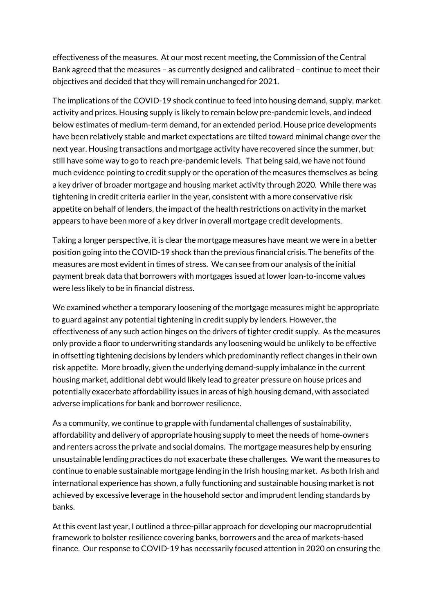effectiveness of the measures. At our most recent meeting, the Commission of the Central Bank agreed that the measures – as currently designed and calibrated – continue to meet their objectives and decided that they will remain unchanged for 2021.

The implications of the COVID-19 shock continue to feed into housing demand, supply, market activity and prices. Housing supply is likely to remain below pre-pandemic levels, and indeed below estimates of medium-term demand, for an extended period. House price developments have been relatively stable and market expectations are tilted toward minimal change over the next year. Housing transactions and mortgage activity have recovered since the summer, but still have some way to go to reach pre-pandemic levels. That being said, we have not found much evidence pointing to credit supply or the operation of the measures themselves as being a key driver of broader mortgage and housing market activity through 2020. While there was tightening in credit criteria earlier in the year, consistent with a more conservative risk appetite on behalf of lenders, the impact of the health restrictions on activity in the market appears to have been more of a key driver in overall mortgage credit developments.

Taking a longer perspective, it is clear the mortgage measures have meant we were in a better position going into the COVID-19 shock than the previous financial crisis. The benefits of the measures are most evident in times of stress. We can see from our analysis of the initial payment break data that borrowers with mortgages issued at lower loan-to-income values were less likely to be in financial distress.

We examined whether a temporary loosening of the mortgage measures might be appropriate to guard against any potential tightening in credit supply by lenders. However, the effectiveness of any such action hinges on the drivers of tighter credit supply. As the measures only provide a floor to underwriting standards any loosening would be unlikely to be effective in offsetting tightening decisions by lenders which predominantly reflect changes in their own risk appetite. More broadly, given the underlying demand-supply imbalance in the current housing market, additional debt would likely lead to greater pressure on house prices and potentially exacerbate affordability issues in areas of high housing demand, with associated adverse implications for bank and borrower resilience.

As a community, we continue to grapple with fundamental challenges of sustainability, affordability and delivery of appropriate housing supply to meet the needs of home-owners and renters across the private and social domains. The mortgage measures help by ensuring unsustainable lending practices do not exacerbate these challenges. We want the measures to continue to enable sustainable mortgage lending in the Irish housing market. As both Irish and international experience has shown, a fully functioning and sustainable housing market is not achieved by excessive leverage in the household sector and imprudent lending standards by banks.

At this event last year, I outlined a three-pillar approach for developing our macroprudential framework to bolster resilience covering banks, borrowers and the area of markets-based finance. Our response to COVID-19 has necessarily focused attention in 2020 on ensuring the